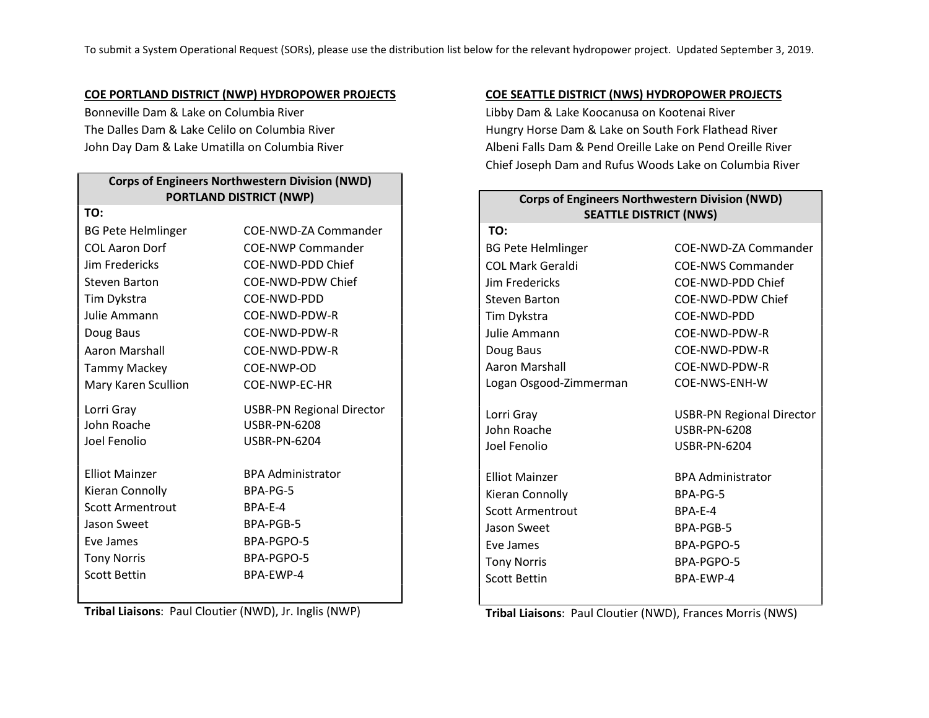#### COE PORTLAND DISTRICT (NWP) HYDROPOWER PROJECTS

Bonneville Dam & Lake on Columbia River The Dalles Dam & Lake Celilo on Columbia River John Day Dam & Lake Umatilla on Columbia River

# Corps of Engineers Northwestern Division (NWD) PORTLAND DISTRICT (NWP) TO: BG Pete Helmlinger COE-NWD-ZA Commander COL Aaron Dorf COE-NWP Commander Jim Fredericks COE-NWD-PDD Chief Steven Barton COE-NWD-PDW Chief Tim Dykstra COE-NWD-PDD Julie Ammann COE-NWD-PDW-R Doug Baus COE-NWD-PDW-R Aaron Marshall COE-NWD-PDW-R Tammy Mackey COE-NWP-OD Mary Karen Scullion COE-NWP-EC-HR Lorri Gray USBR-PN Regional Director John Roache Joel Fenolio USBR-PN-6208 USBR-PN-6204 Elliot Mainzer **BPA Administrator** Kieran Connolly BPA-PG-5 Scott Armentrout BPA-E-4

Tribal Liaisons: Paul Cloutier (NWD), Jr. Inglis (NWP)

Jason Sweet BPA-PGB-5 Eve James BPA-PGPO-5 Tony Norris BPA-PGPO-5 Scott Bettin BPA-EWP-4

#### COE SEATTLE DISTRICT (NWS) HYDROPOWER PROJECTS

Libby Dam & Lake Koocanusa on Kootenai River Hungry Horse Dam & Lake on South Fork Flathead River Albeni Falls Dam & Pend Oreille Lake on Pend Oreille River Chief Joseph Dam and Rufus Woods Lake on Columbia River

| <b>Corps of Engineers Northwestern Division (NWD)</b><br><b>SEATTLE DISTRICT (NWS)</b> |                                  |
|----------------------------------------------------------------------------------------|----------------------------------|
| TO:                                                                                    |                                  |
| <b>BG Pete Helmlinger</b>                                                              | COE-NWD-ZA Commander             |
| COL Mark Geraldi                                                                       | <b>COE-NWS Commander</b>         |
| Jim Fredericks                                                                         | COE-NWD-PDD Chief                |
| <b>Steven Barton</b>                                                                   | COE-NWD-PDW Chief                |
| Tim Dykstra                                                                            | COE-NWD-PDD                      |
| Julie Ammann                                                                           | COE-NWD-PDW-R                    |
| Doug Baus                                                                              | COE-NWD-PDW-R                    |
| Aaron Marshall                                                                         | COE-NWD-PDW-R                    |
| Logan Osgood-Zimmerman                                                                 | COE-NWS-ENH-W                    |
| Lorri Gray                                                                             | <b>USBR-PN Regional Director</b> |
| John Roache                                                                            | <b>USBR-PN-6208</b>              |
| Joel Fenolio                                                                           | <b>USBR-PN-6204</b>              |
| <b>Elliot Mainzer</b>                                                                  | <b>BPA Administrator</b>         |
|                                                                                        | BPA-PG-5                         |
| Kieran Connolly<br>Scott Armentrout                                                    | BPA-E-4                          |
|                                                                                        |                                  |
| Jason Sweet                                                                            | BPA-PGB-5                        |
| Eve James                                                                              | BPA-PGPO-5                       |
| <b>Tony Norris</b>                                                                     | BPA-PGPO-5                       |
| <b>Scott Bettin</b>                                                                    | BPA-FWP-4                        |

Tribal Liaisons: Paul Cloutier (NWD), Frances Morris (NWS)